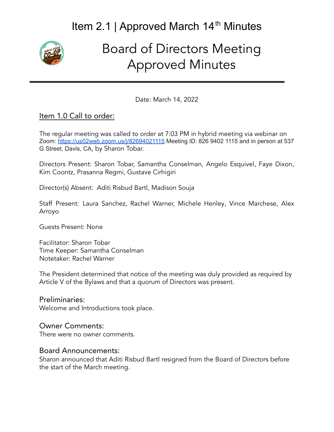

# Board of Directors Meeting Approved Minutes

Date: March 14, 2022

### Item 1.0 Call to order:

The regular meeting was called to order at 7:03 PM in hybrid meeting via webinar on Zoom: <https://us02web.zoom.us/j/82694021115> Meeting ID: 826 9402 1115 and in person at 537 G Street, Davis, CA, by Sharon Tobar.

Directors Present: Sharon Tobar, Samantha Conselman, Angelo Esquivel, Faye Dixon, Kim Coontz, Prasanna Regmi, Gustave Cirhigiri

Director(s) Absent: Aditi Risbud Bartl, Madison Souja

Staff Present: Laura Sanchez, Rachel Warner, Michele Henley, Vince Marchese, Alex Arroyo

Guests Present: None

Facilitator: Sharon Tobar Time Keeper: Samantha Conselman Notetaker: Rachel Warner

The President determined that notice of the meeting was duly provided as required by Article V of the Bylaws and that a quorum of Directors was present.

Preliminaries: Welcome and Introductions took place.

#### Owner Comments:

There were no owner comments.

#### Board Announcements:

Sharon announced that Aditi Risbud Bartl resigned from the Board of Directors before the start of the March meeting.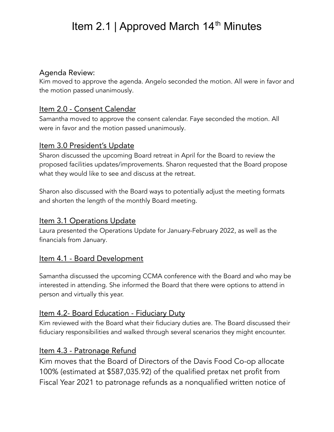#### Agenda Review:

Kim moved to approve the agenda. Angelo seconded the motion. All were in favor and the motion passed unanimously.

### Item 2.0 - Consent Calendar

Samantha moved to approve the consent calendar. Faye seconded the motion. All were in favor and the motion passed unanimously.

### Item 3.0 President's Update

Sharon discussed the upcoming Board retreat in April for the Board to review the proposed facilities updates/improvements. Sharon requested that the Board propose what they would like to see and discuss at the retreat.

Sharon also discussed with the Board ways to potentially adjust the meeting formats and shorten the length of the monthly Board meeting.

### Item 3.1 Operations Update

Laura presented the Operations Update for January-February 2022, as well as the financials from January.

### Item 4.1 - Board Development

Samantha discussed the upcoming CCMA conference with the Board and who may be interested in attending. She informed the Board that there were options to attend in person and virtually this year.

### Item 4.2- Board Education - Fiduciary Duty

Kim reviewed with the Board what their fiduciary duties are. The Board discussed their fiduciary responsibilities and walked through several scenarios they might encounter.

### Item 4.3 - Patronage Refund

Kim moves that the Board of Directors of the Davis Food Co-op allocate 100% (estimated at \$587,035.92) of the qualified pretax net profit from Fiscal Year 2021 to patronage refunds as a nonqualified written notice of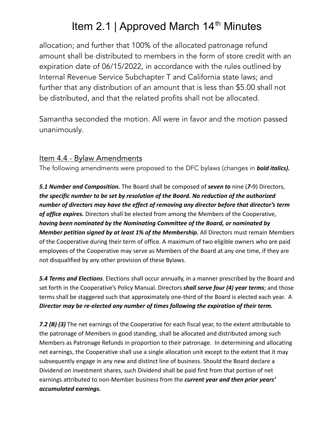allocation; and further that 100% of the allocated patronage refund amount shall be distributed to members in the form of store credit with an expiration date of 06/15/2022, in accordance with the rules outlined by Internal Revenue Service Subchapter T and California state laws; and further that any distribution of an amount that is less than \$5.00 shall not be distributed, and that the related profits shall not be allocated.

Samantha seconded the motion. All were in favor and the motion passed unanimously.

#### Item 4.4 - Bylaw Amendments

The following amendments were proposed to the DFC bylaws (changes in *bold italics).*

*5.1 Number and Composition.* The Board shall be composed of *seven to* nine (*7-*9) Directors, *the specific number to be set by resolution of the Board. No reduction of the authorized number of directors may have the effect of removing any director before that director's term of office expires.* Directors shall be elected from among the Members of the Cooperative, *having been nominated by the Nominating Committee of the Board, or nominated by Member petition signed by at least 1% of the Membership.* All Directors must remain Members of the Cooperative during their term of office. A maximum of two eligible owners who are paid employees of the Cooperative may serve as Members of the Board at any one time, if they are not disqualified by any other provision of these Bylaws.

*5.4 Terms and Elections*. Elections shall occur annually, in a manner prescribed by the Board and set forth in the Cooperative's Policy Manual. Directors *shall serve four (4) year terms*; and those terms shall be staggered such that approximately one-third of the Board is elected each year. A *Director may be re-elected any number of times following the expiration of their term.*

*7.2 (B) (3)* The net earnings of the Cooperative for each fiscal year, to the extent attributable to the patronage of Members in good standing, shall be allocated and distributed among such Members as Patronage Refunds in proportion to their patronage. In determining and allocating net earnings, the Cooperative shall use a single allocation unit except to the extent that it may subsequently engage in any new and distinct line of business. Should the Board declare a Dividend on investment shares, such Dividend shall be paid first from that portion of net earnings attributed to non-Member business from the *current year and then prior years' accumulated earnings.*